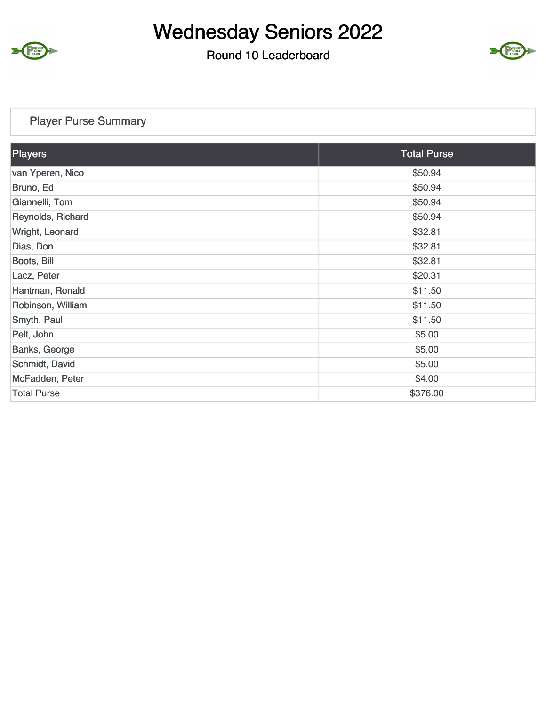

### Round 10 Leaderboard



### Player Purse Summary

| Players            | <b>Total Purse</b> |
|--------------------|--------------------|
| van Yperen, Nico   | \$50.94            |
| Bruno, Ed          | \$50.94            |
| Giannelli, Tom     | \$50.94            |
| Reynolds, Richard  | \$50.94            |
| Wright, Leonard    | \$32.81            |
| Dias, Don          | \$32.81            |
| Boots, Bill        | \$32.81            |
| Lacz, Peter        | \$20.31            |
| Hantman, Ronald    | \$11.50            |
| Robinson, William  | \$11.50            |
| Smyth, Paul        | \$11.50            |
| Pelt, John         | \$5.00             |
| Banks, George      | \$5.00             |
| Schmidt, David     | \$5.00             |
| McFadden, Peter    | \$4.00             |
| <b>Total Purse</b> | \$376.00           |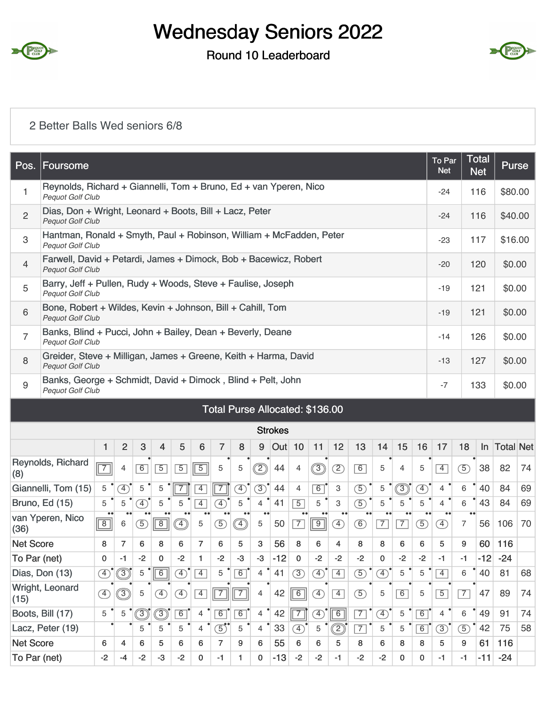

### Round 10 Leaderboard



#### 2 Better Balls Wed seniors 6/8

| Pos.                      | Foursome                                                                                     |                |                |                              |                         |                |                |                              |                                 |                |                |                |               |                |                |               |                |             | To Par<br><b>Net</b> |                | <b>Total</b><br><b>Net</b> | Purse        |    |
|---------------------------|----------------------------------------------------------------------------------------------|----------------|----------------|------------------------------|-------------------------|----------------|----------------|------------------------------|---------------------------------|----------------|----------------|----------------|---------------|----------------|----------------|---------------|----------------|-------------|----------------------|----------------|----------------------------|--------------|----|
| $\mathbf{1}$              | Reynolds, Richard + Giannelli, Tom + Bruno, Ed + van Yperen, Nico<br><b>Pequot Golf Club</b> |                |                |                              |                         |                |                |                              |                                 |                |                |                |               |                |                |               |                |             | $-24$                |                | 116                        | \$80.00      |    |
| $\overline{2}$            | Dias, Don + Wright, Leonard + Boots, Bill + Lacz, Peter<br><b>Pequot Golf Club</b>           |                |                |                              |                         |                |                |                              |                                 |                |                |                |               |                |                |               |                |             | $-24$                |                | 116                        | \$40.00      |    |
| $\ensuremath{\mathsf{3}}$ | Hantman, Ronald + Smyth, Paul + Robinson, William + McFadden, Peter<br>Pequot Golf Club      |                |                |                              |                         |                |                |                              |                                 |                |                |                |               |                |                |               |                |             | $-23$                |                | 117                        | \$16.00      |    |
| $\overline{4}$            | Farwell, David + Petardi, James + Dimock, Bob + Bacewicz, Robert<br><b>Pequot Golf Club</b>  |                |                |                              |                         |                |                |                              |                                 |                |                |                |               |                |                |               |                |             | $-20$                |                | 120                        | \$0.00       |    |
| 5                         | Barry, Jeff + Pullen, Rudy + Woods, Steve + Faulise, Joseph<br>Pequot Golf Club              |                |                |                              |                         |                |                |                              |                                 |                |                |                |               |                |                |               |                |             | $-19$                |                | 121                        | \$0.00       |    |
| 6                         | Bone, Robert + Wildes, Kevin + Johnson, Bill + Cahill, Tom<br>Pequot Golf Club               |                |                |                              |                         |                |                |                              |                                 |                |                |                |               |                |                |               |                |             | $-19$                |                | 121                        | \$0.00       |    |
| $\overline{7}$            | Banks, Blind + Pucci, John + Bailey, Dean + Beverly, Deane<br>Pequot Golf Club               |                |                |                              |                         |                |                |                              |                                 |                |                |                |               |                |                |               |                |             | $-14$                |                | 126                        | \$0.00       |    |
| 8                         | Greider, Steve + Milligan, James + Greene, Keith + Harma, David<br><b>Pequot Golf Club</b>   |                |                |                              |                         |                |                |                              |                                 |                |                |                |               |                |                |               |                |             | $-13$                |                | 127                        | \$0.00       |    |
| $\boldsymbol{9}$          | Banks, George + Schmidt, David + Dimock, Blind + Pelt, John<br>Pequot Golf Club              |                |                |                              |                         |                |                |                              |                                 |                |                |                |               |                |                |               |                |             | $-7$                 |                | 133                        | \$0.00       |    |
|                           |                                                                                              |                |                |                              |                         |                |                |                              | Total Purse Allocated: \$136.00 |                |                |                |               |                |                |               |                |             |                      |                |                            |              |    |
|                           |                                                                                              |                |                |                              |                         |                |                |                              |                                 |                | <b>Strokes</b> |                |               |                |                |               |                |             |                      |                |                            |              |    |
|                           |                                                                                              | $\mathbf{1}$   | $\overline{2}$ | 3                            | $\overline{\mathbf{4}}$ | 5              | 6              | $\overline{7}$               | 8                               | 9              | <b>Out</b> 10  |                | 11            | 12             | 13             | 14            | 15             | 16          | 17                   | 18             |                            | In Total Net |    |
| (8)                       | Reynolds, Richard                                                                            | $\overline{7}$ | 4              | 6                            | $\overline{5}$          | $\overline{5}$ | $\overline{5}$ | 5                            | 5                               | $\circled{2}$  | 44             | $\overline{4}$ | $\circledS$   | $\circled{2}$  | 6              | 5             | $\overline{4}$ | 5           | $\sqrt{4}$           | $\circledS$    | 38                         | 82           | 74 |
|                           | Giannelli, Tom (15)                                                                          | 5              | $\mathcal{F}$  | 5                            | 5                       | $\overline{7}$ | $\overline{4}$ | $\overline{7}$               | $\left( \overline{4}\right)$    | (3)            | 44             | $\overline{4}$ | 6             | 3              | $\circled{5}$  | 5             | T)             | $\boxed{4}$ | $\overline{4}$       | 6              | 40                         | 84           | 69 |
|                           | Bruno, Ed (15)                                                                               | 5              | 5              | $\left( \overline{4}\right)$ | 5                       | 5              | $\overline{4}$ | $\left( \overline{4}\right)$ | 5                               | 4              | 41             | $\overline{5}$ | 5             | 3              | $\circled{5}$  | 5             | 5              | 5           | 4                    | 6              | 43                         | 84           | 69 |
| (36)                      | van Yperen, Nico                                                                             | $\overline{8}$ | 6              | $\circledS$                  | $\overline{8}$          | $\bigoplus$    | 5              | 5                            |                                 | 5              | 50             | $\boxed{7}$    | $\boxed{9}$   | Ð              | $\circledS$    | $\boxed{7}$   | 7              | 5           | 4                    | 7              | 56                         | 106          | 70 |
| <b>Net Score</b>          |                                                                                              | 8              | $\overline{7}$ | 6                            | 8                       | 6              | $\overline{7}$ | 6                            | 5                               | 3              | 56             | 8              | 6             | 4              | 8              | 8             | 6              | 6           | 5                    | 9              | 60                         | 116          |    |
| To Par (net)              |                                                                                              | 0              | -1             | $-2$                         | 0                       | $-2$           | 1              | $-2$                         | -3                              | $-3$           | $-12$          | 0              | $-2$          | $-2$           | $-2$           | 0             | $-2$           | $-2$        | -1                   | -1             | $-12$                      | $-24$        |    |
|                           | Dias, Don (13)                                                                               | $\circled{4}$  | ③              | 5                            | $\boxed{6}$             | $\bigoplus$    | $\overline{4}$ | 5                            | $\overline{6}$                  | 4              | 41             | (3)            | $\bigoplus$   | $\overline{4}$ | $\circled{5}$  | $\circled{4}$ | 5              | 5           | $\boxed{4}$          | 6              | 40                         | 81           | 68 |
| (15)                      | Wright, Leonard                                                                              | $\circled{4}$  |                | 5                            | $\circled{4}$           | $\circled{4}$  | $\overline{4}$ | $\boxed{7}$                  | $\overline{7}$                  | 4              | 42             | $\boxed{6}$    | $\bigoplus$   | $\boxed{4}$    | $\circled{5}$  | 5             | 6              | 5           | $\boxed{5}$          | $\overline{7}$ | 47                         | 89           | 74 |
|                           | Boots, Bill (17)                                                                             | 5              | 5              | $\circledS$                  | ③                       | $\boxed{6}$    | 4              | 6                            | 6                               | $\overline{4}$ | 42             | $\sqrt{7}$     | $\circled{4}$ | $\boxed{6}$    | $\overline{7}$ | $\circled{4}$ | 5              | 6           | $\overline{4}$       | 6              | 49                         | 91           | 74 |
|                           | Lacz, Peter (19)                                                                             |                |                | 5                            | 5                       | 5              | $\overline{4}$ | $\textcircled{\small{5}}$    | 5                               | 4              | 33             | $\circled{4}$  | 5             | O)             | $\overline{7}$ | 5             | 5              | 6           | $\circled{3}$        | $\circledS$    | 42                         | 75           | 58 |
| <b>Net Score</b>          |                                                                                              | 6              | 4              | 6                            | 5                       | 6              | 6              | $\overline{7}$               | 9                               | 6              | 55             | 6              | 6             | 5              | 8              | 6             | 8              | 8           | 5                    | 9              | 61                         | 116          |    |
| To Par (net)              |                                                                                              | $-2$           | $-4$           | $-2$                         | $-3$                    | $-2$           | 0              | -1                           | $\mathbf{1}$                    | 0              | $-13$          | $-2$           | $-2$          | $-1$           | $-2$           | $-2$          | 0              | 0           | $-1$                 | -1             | $-11$                      | $-24$        |    |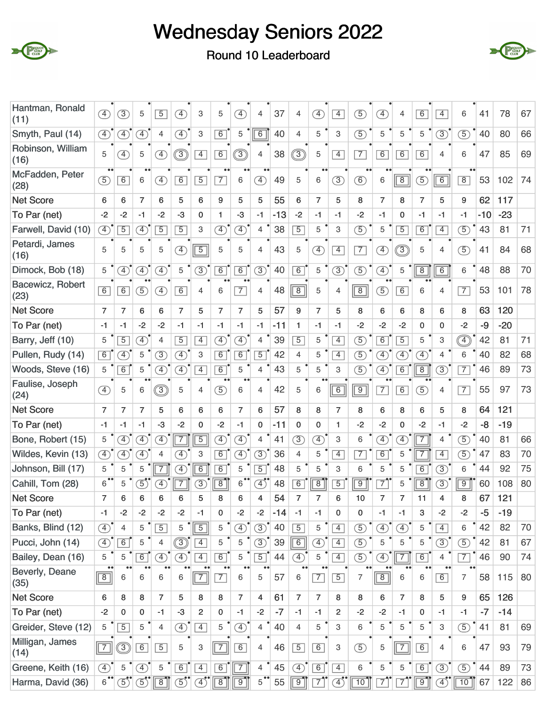



| Hantman, Ronald<br>(11)   | <sup>4</sup>            | $\circled{3}$                | 5                            | $\overline{5}$     | Ð                              | 3                                 | 5                           | $\boxed{4}$                  | 4                                 | 37    | 4                 | $\bigoplus$                 | $\overline{4}$            | $\circledS$                     | $\left( \overline{4}\right)$ | 4                            | 6              | $\overline{4}$                  | 6                                                                  | 41    | 78       | 67 |
|---------------------------|-------------------------|------------------------------|------------------------------|--------------------|--------------------------------|-----------------------------------|-----------------------------|------------------------------|-----------------------------------|-------|-------------------|-----------------------------|---------------------------|---------------------------------|------------------------------|------------------------------|----------------|---------------------------------|--------------------------------------------------------------------|-------|----------|----|
| Smyth, Paul (14)          | $\circled{4}$           | ④                            | $\circledA$                  | 4                  | $\circled{4}$                  | 3                                 | 6                           | 5                            | 6                                 | 40    | $\overline{4}$    | 5                           | 3                         | $\circled{5}$                   | 5                            | 5                            | 5              | $\circled{3}$                   | $\circled{5}$                                                      | 40    | 80       | 66 |
| Robinson, William<br>(16) | 5                       | 4                            | 5                            | F)                 | ③                              | $\overline{4}$                    | 6                           | ③                            | 4                                 | 38    | ③                 | 5                           | $\overline{4}$            | $\overline{7}$                  | 6                            | 6                            | 6              | $\overline{4}$                  | 6                                                                  | 47    | 85       | 69 |
| McFadden, Peter<br>(28)   | $\bullet\bullet$<br>(5) | $\overline{6}$               | 6                            | ④                  | 6                              | $\overline{5}$                    | $\overline{7}$              | 6                            | $\bullet\bullet$<br>$\circled{4}$ | 49    | 5                 | 6                           | $\circled{3}$             | $\bullet\bullet$<br>$\circled6$ | 6                            | $\overline{8}$               | $\circledS$    | $\boxed{6}$                     | $\bullet\bullet$<br>$\overline{8}$                                 | 53    | 102      | 74 |
| <b>Net Score</b>          | 6                       | 6                            | $\overline{7}$               | 6                  | 5                              | 6                                 | 9                           | 5                            | 5                                 | 55    | 6                 | $\overline{7}$              | 5                         | 8                               | $\overline{7}$               | 8                            | $\overline{7}$ | 5                               | 9                                                                  | 62    | 117      |    |
| To Par (net)              | $-2$                    | $-2$                         | $-1$                         | $-2$               | $-3$                           | $\mathbf{0}$                      | 1                           | $-3$                         | $-1$                              | $-13$ | $-2$              | $-1$                        | $-1$                      | $-2$                            | $-1$                         | 0                            | $-1$           | $-1$                            | -1                                                                 | $-10$ | $-23$    |    |
| Farwell, David (10)       | $\circled{4}$           | $\overline{5}$               | $\left( \overline{4}\right)$ | $\overline{5}$     | $\overline{5}$                 | 3                                 | $\circled{4}$               | $\circled{4}$                | 4                                 | 38    | $\overline{5}$    | 5                           | 3                         | $\circled{5}$                   | 5                            | $\overline{5}$               | 6              | $\overline{4}$                  | $\circled{5}$                                                      | 43    | 81       | 71 |
| Petardi, James<br>(16)    | 5                       | 5                            | 5                            | 5                  | $\left( \overline{4}\right)$   | $\overline{5}$                    | 5                           | 5                            | $\overline{4}$                    | 43    | 5                 | $\circledA$                 | $\overline{4}$            | $\overline{7}$                  | $\left( \overline{4}\right)$ | ි                            | 5              | 4                               | 5)                                                                 | 41    | 84       | 68 |
| Dimock, Bob (18)          | 5                       | Œ                            | $\left( \overline{4}\right)$ | $\circled{4}$      | 5                              | $\circled{3}$                     | $6\overline{}$              | $\overline{6}$               | $\circled{3}$                     | 40    | 6                 | 5                           | $\circled{3}$             | $\circled{5}$                   | $\circled{4}$                | 5                            | $\overline{8}$ | $\overline{6}$                  | 6                                                                  | 48    | 88       | 70 |
| Bacewicz, Robert<br>(23)  | 6                       | 6                            | $\circled{5}$                | F)                 | 6                              | 4                                 | 6                           | $\overline{7}$               | 4                                 | 48    | $\overline{8}$    | 5                           | 4                         | $\boxed{8}$                     | $\circled{5}$                | 6                            | 6              | 4                               | $\overline{7}$                                                     | 53    | 101      | 78 |
| <b>Net Score</b>          | 7                       | $\overline{7}$               | 6                            | 6                  | $\overline{7}$                 | 5                                 | $\overline{7}$              | $\overline{7}$               | 5                                 | 57    | 9                 | $\overline{7}$              | 5                         | 8                               | 6                            | 6                            | 8              | 6                               | 8                                                                  | 63    | 120      |    |
| To Par (net)              | $-1$                    | $-1$                         | $-2$                         | $-2$               | $-1$                           | $-1$                              | $-1$                        | $-1$                         | $-1$                              | $-11$ | 1                 | $-1$                        | $-1$                      | $-2$                            | $-2$                         | $-2$                         | $\mathbf{0}$   | 0                               | $-2$                                                               | $-9$  | $-20$    |    |
| Barry, Jeff (10)          | 5                       | $\overline{5}$               | $\circledA$                  | $\overline{4}$     | $\overline{5}$                 | $\overline{4}$                    | Ð                           | $\circled{4}$                | $\overline{4}$                    | 39    | $\overline{5}$    | 5                           | $\overline{4}$            | 5                               | 6                            | $\overline{5}$               | 5              | 3                               | $\widehat{\left( \begin{smallmatrix} 4 \end{smallmatrix} \right)}$ | 42    | 81       | 71 |
| Pullen, Rudy (14)         | $\boxed{6}$             | $\circledA$                  | 5                            | $\circled{3}$      | $\circled{4}$                  | 3                                 | 6                           | $\overline{6}$               | $\overline{5}$                    | 42    | $\overline{4}$    | 5                           | $\overline{4}$            | $\circled{5}$                   | $\left( \overline{4}\right)$ | $\bigoplus$                  | $\boxed{4}$    | 4                               | 6                                                                  | 40    | 82       | 68 |
| Woods, Steve (16)         | 5                       | $\overline{6}$               | 5                            | F)                 | Ð                              | $\overline{4}$                    | 6                           | 5                            | $\overline{4}$                    | 43    | 5                 | 5                           | 3                         | $\overline{5}$                  | F)                           | $\overline{6}$               | $\overline{8}$ | 3                               | $\overline{7}$                                                     | 46    | 89       | 73 |
| Faulise, Joseph<br>(24)   | $\circled{4}$           | 5                            | 6                            |                    | 5                              | 4                                 | $^{\circ}$<br>$\mathcal{F}$ | $\bullet\bullet$<br>6        | 4                                 | 42    | 5                 | 6                           | $\boxed{6}$               | $\boxed{9}$                     | $\boxed{7}$                  | 6                            | $\circled{5}$  | 4                               | 7                                                                  | 55    | 97       | 73 |
| <b>Net Score</b>          | $\overline{7}$          | $\overline{7}$               | $\overline{7}$               | 5                  | 6                              | 6                                 | 6                           | $\overline{7}$               | 6                                 | 57    | 8                 | 8                           | $\overline{7}$            | 8                               | 6                            | 8                            | 6              | 5                               | 8                                                                  | 64    | 121      |    |
| To Par (net)              | $-1$                    | $-1$                         | $-1$                         | $-3$               | $-2$                           | 0                                 | $-2$                        | $-1$                         | 0                                 | $-11$ | 0                 | $\mathbf 0$                 | 1                         | $-2$                            | $-2$                         | 0                            | $-2$           | $-1$                            | $-2$                                                               | $-8$  | $-19$    |    |
| Bone, Robert (15)         | 5                       | Ð                            | <sup>4</sup>                 | $\circled{4}$      | $\overline{7}$                 | $\overline{5}$                    | $\bigoplus$                 | $\circled{4}$                | 4                                 | 41    | $\circled{3}$     | $\circled{4}$               | 3                         | 6                               | $\circled{4}$                | $\left( \overline{4}\right)$ | $\overline{7}$ | $\overline{4}$                  | $\circled{5}$                                                      | 40    | 81       | 66 |
| Wildes, Kevin (13)        | $\circled{4}$           | $\left( \overline{4}\right)$ | $\left( \overline{4}\right)$ | 4                  | Ŧ,                             | 3                                 | 6                           | $\left( \overline{4}\right)$ | $\circled{3}$                     | 36    | $\overline{4}$    | 5                           | $\overline{4}$            | $\overline{7}$                  | 6                            | 5                            | 7              | $\overline{4}$                  | $\circled{5}$                                                      | 47    | 83       | 70 |
| Johnson, Bill (17)        | 5                       | 5                            | 5                            | $\overline{7}$     | $\left( \overline{4}\right)$   | 6                                 | 6                           | 5                            | $\overline{5}$                    | 48    | 5                 | 5                           | 3                         | 6                               | 5                            | 5                            | $\overline{6}$ | $\circled{3}$                   | 6                                                                  | 44    | 92       | 75 |
| Cahill, Tom (28)          | $\overline{6}$          | 5                            | $\mathcal{F}$                | $\boxed{4}$        | $\overline{7}$                 | $\circled{3}$                     | $\overline{8}$              | $\overline{6}$               | $\mathcal{A}$                     | 48    | $\overline{6}$    | $\overline{8}$              | $\overline{5}$            | $\overline{9}$                  | $\overline{7}$               | 5                            | $\overline{8}$ | $\circled{3}$                   | $\overline{9}$                                                     | 60    | 108      | 80 |
| <b>Net Score</b>          | $\overline{7}$          | 6                            | 6                            | 6                  | 6                              | 5                                 | 8                           | 6                            | 4                                 | 54    | 7                 | 7                           | 6                         | 10                              | 7                            | 7                            | 11             | 4                               | 8                                                                  | 67    | 121      |    |
| To Par (net)              | $-1$                    | $-2$                         | $-2$                         | $-2$               | $-2$                           | $-1$                              | 0                           | $-2$                         | $-2$                              | $-14$ | $-1$              | $-1$                        | 0                         | 0                               | $-1$                         | $-1$                         | 3              | $-2$                            | $-2$                                                               | $-5$  | $-19$    |    |
| Banks, Blind (12)         | $\circled{4}$           | $\overline{4}$               | 5                            | $\boxed{5}$        | 5                              | $\overline{5}$                    | 5                           | $\circled{4}$                | $\circled{3}$                     | 40    | $\overline{5}$    | 5                           | $\boxed{4}$               | $\circled{5}$                   | $\circled{4}$                | ④                            | 5              | $\overline{4}$                  | 6                                                                  | 42    | 82       | 70 |
| Pucci, John (14)          | $\circled{4}$           | 6                            | 5                            | 4                  | $\circledS$                    | $\overline{4}$                    | 5                           | 5                            | $\circled{3}$                     | 39    | $\boxed{6}$       | $\circled{4}$               | $\overline{4}$            | $\circled{5}$                   | 5                            | 5                            | 5              | $\circled{3}$                   | $\circled{5}$                                                      | 42    | 81       | 67 |
| Bailey, Dean (16)         | 5                       | 5                            | 6                            | Ð                  | ④                              | $\overline{4}$                    | $\overline{6}$              | 5                            | $\overline{5}$                    | 44    | $\circled{4}$     | 5                           | $\overline{4}$            | $\circled{5}$                   | ⊕                            | $\overline{7}$               | 6              | $\overline{4}$                  | $\overline{7}$                                                     | 46    | 90       | 74 |
| Beverly, Deane<br>(35)    | $\overline{8}$          | 6                            | 6                            | 6                  | 6                              | $\boxed{7}$                       | $\overline{7}$              | 6                            | 5                                 | 57    | 6                 | $\overline{7}$              | $\overline{5}$            | $\overline{7}$                  | $\boxed{8}$                  | 6                            | 6              | $\bullet\bullet$<br>$\boxed{6}$ | $\overline{7}$                                                     | 58    | 115      | 80 |
| <b>Net Score</b>          | 6                       | 8                            | 8                            | $\overline{7}$     | 5                              | 8                                 | 8                           | $\overline{7}$               | $\overline{\mathbf{4}}$           | 61    | $\overline{7}$    | $\overline{7}$              | 8                         | 8                               | 6                            | $\overline{7}$               | 8              | 5                               | 9                                                                  | 65    | 126      |    |
| To Par (net)              | $-2$                    | 0                            | $\mathbf 0$                  | $-1$               | $-3$                           | $\overline{2}$                    | $\mathbf 0$                 | $-1$                         | $-2$                              | $-7$  | $-1$              | $-1$                        | $\overline{2}$            | $-2$                            | $-2$                         | $-1$                         | $\mathbf 0$    | $-1$                            | $-1$                                                               | $-7$  | $-14$    |    |
| Greider, Steve (12)       | 5                       | $\overline{5}$               | 5                            | $\overline{4}$     | $\textcircled{\scriptsize{4}}$ | $\overline{4}$                    | 5                           | $\bigcirc$                   | $\overline{4}$                    | 40    | $\overline{4}$    | 5                           | 3                         | 6                               | 5                            | 5                            | 5              | 3                               | (5)                                                                | 41    | 81       | 69 |
| Milligan, James<br>(14)   | $\overline{7}$          | ③                            | 6                            | $\boxed{5}$        | 5                              | 3                                 | $\boxed{7}$                 | $\boxed{6}$                  | $\overline{4}$                    | 46    | $\sqrt{5}$        | $\boxed{6}$                 | $\ensuremath{\mathsf{3}}$ | $\circled{5}$                   | 5                            | $\overline{7}$               | $\boxed{6}$    | 4                               | 6                                                                  | 47    | 93       | 79 |
| Greene, Keith (16)        | $\circled{4}$           | 5                            | (4)                          | 5                  | 6                              | $\overline{4}$                    | 6                           | $\overline{7}$               | $\overline{4}$                    | 45    | $\left( 4\right)$ | 6                           | $\vert 4 \vert$           | 6                               | 5                            | 5                            | 6              | $\circled{3}$                   | (5)                                                                | 44    | 89       | 73 |
| Harma, David (36)         | $6^{\bullet\bullet}$    | (5)                          |                              | $(5')$ $\boxed{8}$ | (5)                            | $\overline{(4)}^{\bullet\bullet}$ | $\overline{8}$              | 91                           | $5$ <sup>**</sup>                 | 55    | $\sqrt{9}$        | $\overline{7}$ <sup>9</sup> | $\overline{(4)}$          | $\overline{\mathbb{T}^{\tau}}$  | $\overline{7}$               | $\overline{7}$ <sup>o</sup>  | $\overline{9}$ | $\left(4\right)^{\bullet}$      | $\sqrt{10}$ 67                                                     |       | 122   86 |    |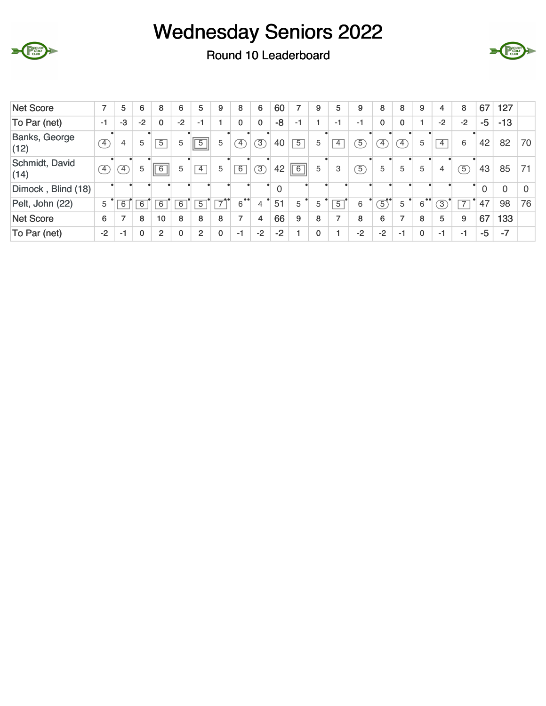



| <b>Net Score</b>             | $\overline{ }$ | 5           | 6            | 8              | 6              | 5              | 9              | 8                               | 6           | 60             |                | 9        | 5              | 9              | 8              | 8            | 9            | 4              | 8              | 67       | 127            |                |
|------------------------------|----------------|-------------|--------------|----------------|----------------|----------------|----------------|---------------------------------|-------------|----------------|----------------|----------|----------------|----------------|----------------|--------------|--------------|----------------|----------------|----------|----------------|----------------|
| To Par (net)                 | $-1$           | -3          | $-2$         | $\mathbf{0}$   | $-2$           | $-1$           |                | $\mathbf{0}$                    | $\mathbf 0$ | $-8$           | $-1$           |          | -1             | $-1$           | 0              | $\mathbf{0}$ |              | $-2$           | $-2$           | $-5$     | $-13$          |                |
| <b>Banks, George</b><br>(12) | $\overline{4}$ | 4           | 5            | $\overline{5}$ | 5              | $\overline{5}$ | 5              | $\mathcal{A}$                   | $\sqrt{3}$  | 40             | $\overline{5}$ | 5        | $\overline{4}$ | $\overline{5}$ | $\mathcal{F}$  | $\sim$       | 5            | $\overline{4}$ | 6              | 42       | 82             | 70             |
| Schmidt, David<br>(14)       | $\boxed{4}$    | $\boxed{4}$ | 5            | 6              | 5              | 4              | 5              | 6                               | 3           | 42             | $\overline{6}$ | 5        | 3              | $\overline{5}$ | 5              | 5            | 5            | 4              | 5              | 43       | 85             | 71             |
| Dimock, Blind (18)           |                |             |              |                |                |                |                |                                 |             | $\overline{0}$ |                |          |                |                |                |              |              |                |                | $\Omega$ | $\overline{0}$ | $\overline{0}$ |
| Pelt, John (22)              | 5              | 6           | 6            | 6              | $\overline{6}$ | 5              | $\overline{7}$ | $\bullet\bullet$<br>$6^{\circ}$ | 4           | 51             | 5              | 5        | $\overline{5}$ | 6              | $\overline{5}$ | 5            | 6            | $\overline{3}$ | $\overline{7}$ | 47       | 98             | 76             |
| <b>Net Score</b>             | 6              | 7           | 8            | 10             | 8              | 8              | 8              |                                 | 4           | 66             | 9              | 8        |                | 8              | 6              |              | 8            | 5              | 9              | 67       | 133            |                |
| To Par (net)                 | $-2$           | $-1$        | $\mathbf{0}$ | $\overline{2}$ | $\mathbf{0}$   | $\mathcal{P}$  | 0              | -1                              | $-2$        | $-2$           |                | $\Omega$ |                | $-2$           | $-2$           | $-1$         | $\mathbf{0}$ | $-1$           | $-1$           | $-5$     | $-7$           |                |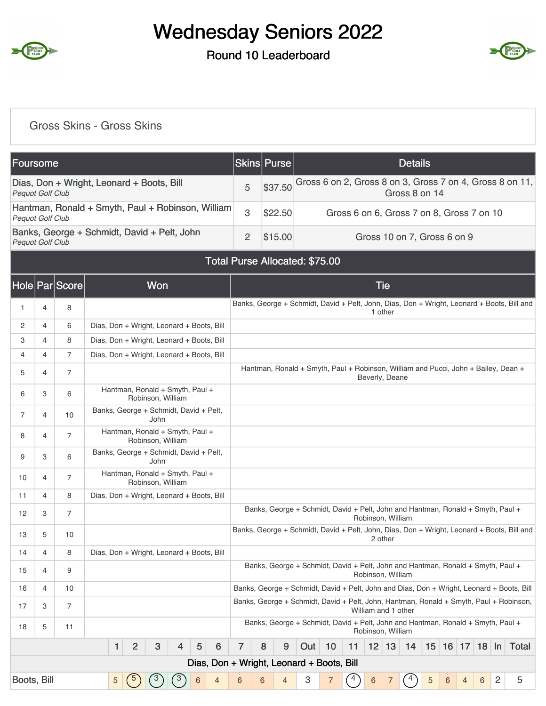

### Round 10 Leaderboard



#### Gross Skins - Gross Skins

| Foursome                |                                                                                                                                                                                                                                                                                                                                                                                                                                                                                                                                                                                                       |                                             |  |   |                |                                                                                            |   |                                                   | <b>Skins Purse</b>                                                                         |         |         |    |    |                                                                                                      | <b>Details</b> |   |   |   |   |                |                                                          |
|-------------------------|-------------------------------------------------------------------------------------------------------------------------------------------------------------------------------------------------------------------------------------------------------------------------------------------------------------------------------------------------------------------------------------------------------------------------------------------------------------------------------------------------------------------------------------------------------------------------------------------------------|---------------------------------------------|--|---|----------------|--------------------------------------------------------------------------------------------|---|---------------------------------------------------|--------------------------------------------------------------------------------------------|---------|---------|----|----|------------------------------------------------------------------------------------------------------|----------------|---|---|---|---|----------------|----------------------------------------------------------|
| <b>Pequot Golf Club</b> |                                                                                                                                                                                                                                                                                                                                                                                                                                                                                                                                                                                                       | Dias, Don + Wright, Leonard + Boots, Bill   |  |   |                |                                                                                            |   |                                                   | 5                                                                                          | \$37.50 |         |    |    |                                                                                                      | Gross 8 on 14  |   |   |   |   |                | Gross 6 on 2, Gross 8 on 3, Gross 7 on 4, Gross 8 on 11, |
| <b>Pequot Golf Club</b> |                                                                                                                                                                                                                                                                                                                                                                                                                                                                                                                                                                                                       |                                             |  |   |                |                                                                                            |   | Hantman, Ronald + Smyth, Paul + Robinson, William | 3                                                                                          | \$22.50 |         |    |    | Gross 6 on 6, Gross 7 on 8, Gross 7 on 10                                                            |                |   |   |   |   |                |                                                          |
| <b>Pequot Golf Club</b> |                                                                                                                                                                                                                                                                                                                                                                                                                                                                                                                                                                                                       | Banks, George + Schmidt, David + Pelt, John |  |   |                |                                                                                            |   |                                                   | 2                                                                                          | \$15.00 |         |    |    | Gross 10 on 7, Gross 6 on 9                                                                          |                |   |   |   |   |                |                                                          |
|                         |                                                                                                                                                                                                                                                                                                                                                                                                                                                                                                                                                                                                       |                                             |  |   |                |                                                                                            |   |                                                   | Total Purse Allocated: \$75.00                                                             |         |         |    |    |                                                                                                      |                |   |   |   |   |                |                                                          |
|                         |                                                                                                                                                                                                                                                                                                                                                                                                                                                                                                                                                                                                       | Hole Par Score                              |  |   |                | Won                                                                                        |   |                                                   |                                                                                            |         |         |    |    | <b>Tie</b>                                                                                           |                |   |   |   |   |                |                                                          |
| 1                       | 8<br>4<br>6<br>Dias, Don + Wright, Leonard + Boots, Bill<br>4<br>4<br>8<br>Dias, Don + Wright, Leonard + Boots, Bill<br>$\overline{7}$<br>Dias, Don + Wright, Leonard + Boots, Bill<br>4<br>7<br>4<br>Hantman, Ronald + Smyth, Paul +<br>6<br>3<br>Robinson, William<br>Banks, George + Schmidt, David + Pelt,<br>10<br>4<br>John<br>Hantman, Ronald + Smyth, Paul +<br>$\overline{7}$<br>4<br>Robinson, William<br>Banks, George + Schmidt, David + Pelt,<br>6<br>3<br>John<br>Hantman, Ronald + Smyth, Paul +<br>7<br>4<br>Robinson, William<br>8<br>4<br>Dias, Don + Wright, Leonard + Boots, Bill |                                             |  |   |                | Banks, George + Schmidt, David + Pelt, John, Dias, Don + Wright, Leonard + Boots, Bill and |   |                                                   |                                                                                            |         | 1 other |    |    |                                                                                                      |                |   |   |   |   |                |                                                          |
| 2                       |                                                                                                                                                                                                                                                                                                                                                                                                                                                                                                                                                                                                       |                                             |  |   |                |                                                                                            |   |                                                   |                                                                                            |         |         |    |    |                                                                                                      |                |   |   |   |   |                |                                                          |
| 3                       |                                                                                                                                                                                                                                                                                                                                                                                                                                                                                                                                                                                                       |                                             |  |   |                |                                                                                            |   |                                                   |                                                                                            |         |         |    |    |                                                                                                      |                |   |   |   |   |                |                                                          |
| 4                       |                                                                                                                                                                                                                                                                                                                                                                                                                                                                                                                                                                                                       |                                             |  |   |                |                                                                                            |   |                                                   |                                                                                            |         |         |    |    |                                                                                                      |                |   |   |   |   |                |                                                          |
| 5                       |                                                                                                                                                                                                                                                                                                                                                                                                                                                                                                                                                                                                       |                                             |  |   |                |                                                                                            |   |                                                   |                                                                                            |         |         |    |    | Hantman, Ronald + Smyth, Paul + Robinson, William and Pucci, John + Bailey, Dean +<br>Beverly, Deane |                |   |   |   |   |                |                                                          |
| 6                       |                                                                                                                                                                                                                                                                                                                                                                                                                                                                                                                                                                                                       |                                             |  |   |                |                                                                                            |   |                                                   |                                                                                            |         |         |    |    |                                                                                                      |                |   |   |   |   |                |                                                          |
| 7                       |                                                                                                                                                                                                                                                                                                                                                                                                                                                                                                                                                                                                       |                                             |  |   |                |                                                                                            |   |                                                   |                                                                                            |         |         |    |    |                                                                                                      |                |   |   |   |   |                |                                                          |
| 8                       |                                                                                                                                                                                                                                                                                                                                                                                                                                                                                                                                                                                                       |                                             |  |   |                |                                                                                            |   |                                                   |                                                                                            |         |         |    |    |                                                                                                      |                |   |   |   |   |                |                                                          |
| 9                       |                                                                                                                                                                                                                                                                                                                                                                                                                                                                                                                                                                                                       |                                             |  |   |                |                                                                                            |   |                                                   |                                                                                            |         |         |    |    |                                                                                                      |                |   |   |   |   |                |                                                          |
| 10                      |                                                                                                                                                                                                                                                                                                                                                                                                                                                                                                                                                                                                       |                                             |  |   |                |                                                                                            |   |                                                   |                                                                                            |         |         |    |    |                                                                                                      |                |   |   |   |   |                |                                                          |
| 11                      |                                                                                                                                                                                                                                                                                                                                                                                                                                                                                                                                                                                                       |                                             |  |   |                |                                                                                            |   |                                                   |                                                                                            |         |         |    |    |                                                                                                      |                |   |   |   |   |                |                                                          |
| 12                      | 3                                                                                                                                                                                                                                                                                                                                                                                                                                                                                                                                                                                                     | 7                                           |  |   |                |                                                                                            |   |                                                   |                                                                                            |         |         |    |    | Banks, George + Schmidt, David + Pelt, John and Hantman, Ronald + Smyth, Paul +<br>Robinson, William |                |   |   |   |   |                |                                                          |
| 13                      | 5                                                                                                                                                                                                                                                                                                                                                                                                                                                                                                                                                                                                     | 10                                          |  |   |                |                                                                                            |   |                                                   | Banks, George + Schmidt, David + Pelt, John, Dias, Don + Wright, Leonard + Boots, Bill and |         |         |    |    | 2 other                                                                                              |                |   |   |   |   |                |                                                          |
| 14                      | 4                                                                                                                                                                                                                                                                                                                                                                                                                                                                                                                                                                                                     | 8                                           |  |   |                |                                                                                            |   | Dias, Don + Wright, Leonard + Boots, Bill         |                                                                                            |         |         |    |    |                                                                                                      |                |   |   |   |   |                |                                                          |
| 15                      | 4                                                                                                                                                                                                                                                                                                                                                                                                                                                                                                                                                                                                     | 9                                           |  |   |                |                                                                                            |   |                                                   |                                                                                            |         |         |    |    | Banks, George + Schmidt, David + Pelt, John and Hantman, Ronald + Smyth, Paul +<br>Robinson, William |                |   |   |   |   |                |                                                          |
| 16                      | 4                                                                                                                                                                                                                                                                                                                                                                                                                                                                                                                                                                                                     | 10                                          |  |   |                |                                                                                            |   |                                                   | Banks, George + Schmidt, David + Pelt, John and Dias, Don + Wright, Leonard + Boots, Bill  |         |         |    |    |                                                                                                      |                |   |   |   |   |                |                                                          |
| 17                      | 3                                                                                                                                                                                                                                                                                                                                                                                                                                                                                                                                                                                                     | 7                                           |  |   |                |                                                                                            |   |                                                   | Banks, George + Schmidt, David + Pelt, John, Hantman, Ronald + Smyth, Paul + Robinson,     |         |         |    |    | William and 1 other                                                                                  |                |   |   |   |   |                |                                                          |
| 18                      | 5                                                                                                                                                                                                                                                                                                                                                                                                                                                                                                                                                                                                     | 11                                          |  |   |                |                                                                                            |   |                                                   |                                                                                            |         |         |    |    | Banks, George + Schmidt, David + Pelt, John and Hantman, Ronald + Smyth, Paul +<br>Robinson, William |                |   |   |   |   |                |                                                          |
|                         |                                                                                                                                                                                                                                                                                                                                                                                                                                                                                                                                                                                                       |                                             |  | 1 | $\overline{c}$ | 3                                                                                          | 4 | 5<br>6                                            | 7                                                                                          | 8<br>9  | Out     | 10 | 11 | $12$ 13 14                                                                                           |                |   |   |   |   |                | 15 16 17 18 In Total                                     |
|                         |                                                                                                                                                                                                                                                                                                                                                                                                                                                                                                                                                                                                       |                                             |  |   |                |                                                                                            |   | Dias, Don + Wright, Leonard + Boots, Bill         |                                                                                            |         |         |    |    |                                                                                                      |                |   |   |   |   |                |                                                          |
| Boots, Bill             |                                                                                                                                                                                                                                                                                                                                                                                                                                                                                                                                                                                                       |                                             |  | 5 | $\overline{5}$ |                                                                                            |   | $\overline{4}$<br>6                               | 6                                                                                          | 6<br>4  | 3       | 7  |    | $6\phantom{1}$<br>$\overline{7}$                                                                     | 4              | 5 | 6 | 4 | 6 | $\overline{2}$ | 5                                                        |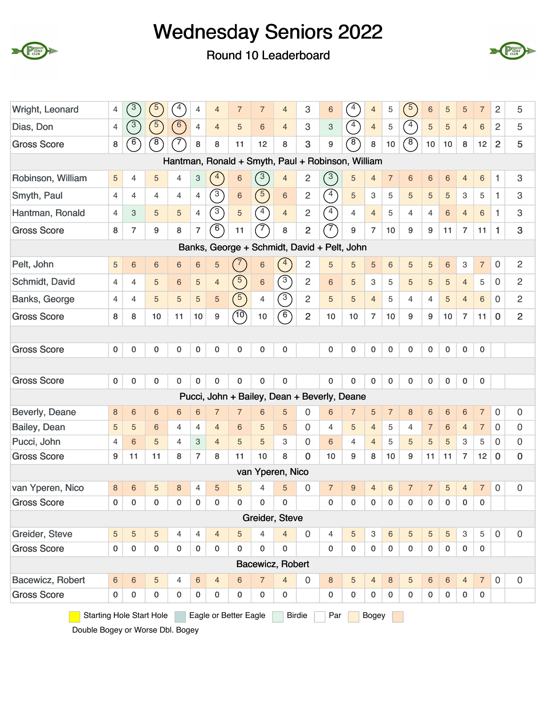





| Wright, Leonard                 | 4              | $\sqrt{3}$     | $\begin{bmatrix} 5 \end{bmatrix}$ | $4^{\circ}$             | 4                         | $\overline{4}$ | $\overline{7}$        | $\overline{7}$     | $\overline{4}$                                    | $\mathbf{3}$        | $6\phantom{1}6$         | $\sqrt{4}$     | $\overline{4}$ | 5              | $\sqrt{5}$     | 6              | 5           | 5               | $\overline{7}$ | $\overline{c}$      | 5                         |
|---------------------------------|----------------|----------------|-----------------------------------|-------------------------|---------------------------|----------------|-----------------------|--------------------|---------------------------------------------------|---------------------|-------------------------|----------------|----------------|----------------|----------------|----------------|-------------|-----------------|----------------|---------------------|---------------------------|
| Dias, Don                       | 4              | $\sqrt{3}$     | $\sqrt{5}$                        | $\sqrt{6}$              | $\overline{4}$            | $\overline{4}$ | 5                     | $6\phantom{1}$     | $\overline{4}$                                    | 3                   | 3                       | $\widehat{4}$  | $\overline{4}$ | 5              | $\widehat{4}$  | 5              | 5           | $\overline{4}$  | $6\phantom{1}$ | $\overline{c}$      | 5                         |
| <b>Gross Score</b>              | 8              | 6              | $\widehat{8}$                     | $\widehat{\mathcal{T}}$ | 8                         | 8              | 11                    | 12                 | 8                                                 | $\mathbf{3}$        | 9                       | $\circledast$  | 8              | 10             | $\circledast$  | 10             | $10$        | 8               | 12             | $\overline{2}$      | 5                         |
|                                 |                |                |                                   |                         |                           |                |                       |                    | Hantman, Ronald + Smyth, Paul + Robinson, William |                     |                         |                |                |                |                |                |             |                 |                |                     |                           |
| Robinson, William               | 5              | 4              | 5                                 | 4                       | $\ensuremath{\mathsf{3}}$ | $\binom{4}{ }$ | $\,6\,$               | (3)                | $\overline{4}$                                    | 2                   | $\binom{3}{ }$          | 5              | $\overline{4}$ | $\overline{7}$ | $6\phantom{a}$ | $\,6\,$        | $\,6$       | $\overline{4}$  | 6              | 1                   | $\ensuremath{\mathsf{3}}$ |
| Smyth, Paul                     | $\overline{4}$ | $\overline{4}$ | 4                                 | $\overline{4}$          | $\overline{4}$            | $\mathcal{F}$  | $\,6\,$               | $\binom{5}{ }$     | $\,6\,$                                           | $\overline{c}$      | $\binom{4}{ }$          | 5              | 3              | 5              | 5              | 5              | 5           | 3               | 5              | $\mathbf{1}$        | $\ensuremath{\mathsf{3}}$ |
| Hantman, Ronald                 | 4              | 3              | 5                                 | 5                       | $\overline{4}$            | 3)             | $\overline{5}$        | $\binom{4}{}$      | $\overline{4}$                                    | $\overline{2}$      | $\binom{4}{}$           | $\overline{4}$ | $\overline{4}$ | 5              | $\overline{4}$ | 4              | 6           | $\overline{4}$  | 6              | 1                   | $\ensuremath{\mathsf{3}}$ |
| <b>Gross Score</b>              | 8              | $\overline{7}$ | 9                                 | 8                       | $\overline{7}$            | $\bigcirc$     | 11                    | $\curvearrowright$ | 8                                                 | $\overline{2}$      | $\widehat{\mathcal{T}}$ | 9              | $\overline{7}$ | 10             | 9              | $9\,$          | 11          | $\overline{7}$  | 11             | $\mathbf{1}$        | $\mathbf{3}$              |
|                                 |                |                |                                   |                         |                           |                |                       |                    | Banks, George + Schmidt, David + Pelt, John       |                     |                         |                |                |                |                |                |             |                 |                |                     |                           |
| Pelt, John                      | 5              | 6              | $6\phantom{1}$                    | 6                       | 6                         | $\sqrt{5}$     | $\sqrt{2}$            | $\,6\,$            | 4                                                 | $\overline{2}$      | 5                       | 5              | 5              | $6\phantom{1}$ | 5              | $\sqrt{5}$     | $\,6$       | 3               | $\overline{7}$ | $\mathbf 0$         | $\overline{2}$            |
| Schmidt, David                  | $\overline{4}$ | 4              | 5                                 | 6                       | 5                         | $\overline{4}$ | (5)                   | $6\phantom{a}$     | $\mathcal{F}$                                     | $\overline{2}$      | $\,6$                   | 5              | 3              | 5              | 5              | 5              | 5           | $\overline{4}$  | 5              | $\mathbf 0$         | $\overline{c}$            |
| Banks, George                   | 4              | 4              | 5                                 | 5                       | 5                         | $\sqrt{5}$     | $\binom{5}{ }$        | $\overline{4}$     | $\circ$                                           | $\overline{2}$      | 5                       | 5              | $\overline{4}$ | 5              | $\overline{4}$ | 4              | 5           | $\overline{4}$  | $6\,$          | 0                   | $\overline{c}$            |
| <b>Gross Score</b>              | 8              | 8              | 10                                | 11                      | $10$                      | 9              | (10)                  | 10                 | $\widehat{6}$                                     | $\overline{2}$      | 10                      | 10             | 7              | 10             | 9              | 9              | 10          | $\overline{7}$  | 11             | $\mathbf 0$         | $\overline{2}$            |
|                                 |                |                |                                   |                         |                           |                |                       |                    |                                                   |                     |                         |                |                |                |                |                |             |                 |                |                     |                           |
| <b>Gross Score</b>              | 0              | 0              | $\mathbf 0$                       | 0                       | $\pmb{0}$                 | $\pmb{0}$      | 0                     | 0                  | 0                                                 |                     | $\mathbf 0$             | $\mathbf 0$    | $\pmb{0}$      | $\mathbf 0$    | $\mathbf 0$    | $\pmb{0}$      | 0           | $\pmb{0}$       | $\mathbf 0$    |                     |                           |
|                                 |                |                |                                   |                         |                           |                |                       |                    |                                                   |                     |                         |                |                |                |                |                |             |                 |                |                     |                           |
| <b>Gross Score</b>              | $\pmb{0}$      | 0              | 0                                 | 0                       | $\mathbf 0$               | $\pmb{0}$      | 0                     | $\mathbf 0$        | 0                                                 |                     | $\pmb{0}$               | $\mathbf 0$    | $\pmb{0}$      | $\mathbf 0$    | $\mathbf 0$    | 0              | $\pmb{0}$   | $\pmb{0}$       | $\mathbf 0$    |                     |                           |
|                                 |                |                |                                   |                         |                           |                |                       |                    | Pucci, John + Bailey, Dean + Beverly, Deane       |                     |                         |                |                |                |                |                |             |                 |                |                     |                           |
| Beverly, Deane                  | 8              | 6              | 6                                 | 6                       | 6                         | $\overline{7}$ | $\overline{7}$        | 6                  | 5                                                 | 0                   | 6                       | $\overline{7}$ | 5              | $\overline{7}$ | 8              | $\,$ 6 $\,$    | 6           | $6\phantom{1}6$ | $\overline{7}$ | $\mathbf 0$         | $\mathbf 0$               |
| Bailey, Dean                    | 5              | 5              | 6                                 | $\overline{4}$          | $\overline{4}$            | $\overline{4}$ | $\,6$                 | 5                  | 5                                                 | $\mathbf 0$         | $\overline{4}$          | 5              | $\overline{4}$ | 5              | $\overline{4}$ | $\overline{7}$ | 6           | $\overline{4}$  | $\overline{7}$ | $\mathbf 0$         | $\mathbf 0$               |
| Pucci, John                     | $\overline{4}$ | 6              | 5                                 | $\overline{4}$          | 3                         | $\overline{4}$ | 5                     | 5                  | 3                                                 | $\mathbf 0$         | 6                       | $\overline{4}$ | $\overline{4}$ | 5              | 5              | 5              | 5           | 3               | 5              | $\mathbf 0$         | $\mathbf 0$               |
| <b>Gross Score</b>              | 9              | 11             | 11                                | 8                       | $\overline{7}$            | 8              | 11                    | 10                 | 8                                                 | $\mathbf 0$         | 10                      | 9              | 8              | 10             | 9              | 11             | 11          | $\overline{7}$  | 12             | $\mathbf 0$         | $\mathbf 0$               |
|                                 |                |                |                                   |                         |                           |                |                       |                    | van Yperen, Nico                                  |                     |                         |                |                |                |                |                |             |                 |                |                     |                           |
| van Yperen, Nico                | $\bf8$         | $\,6$          | 5                                 | 8                       | 4                         | $\sqrt{5}$     | 5                     | 4                  | 5                                                 | 0                   | $\overline{7}$          | 9              | 4              | $\,6$          | $\overline{7}$ | 7              | 5           | 4               | $\overline{7}$ | $\mathsf{O}\xspace$ | $\mathbf 0$               |
| <b>Gross Score</b>              | 0              | 0              | 0                                 | $\mathbf 0$             | $\mathbf 0$               | 0              | 0                     | 0                  | $\pmb{0}$                                         |                     | 0                       | 0              | $\bf{0}$       | $\pmb{0}$      | $\mathbf 0$    | 0              | $\mathbf 0$ | $\bf{0}$        | $\bf{0}$       |                     |                           |
|                                 |                |                |                                   |                         |                           |                |                       |                    | Greider, Steve                                    |                     |                         |                |                |                |                |                |             |                 |                |                     |                           |
| Greider, Steve                  | 5              | 5              | 5                                 | 4                       | 4                         | $\overline{4}$ | 5                     | $\overline{4}$     | $\overline{4}$                                    | $\mathsf{O}\xspace$ | 4                       | 5              | 3              | 6              | 5              | $\sqrt{5}$     | 5           | 3               | 5              | 0                   | $\mathbf 0$               |
| <b>Gross Score</b>              | 0              | 0              | 0                                 | 0                       | $\pmb{0}$                 | 0              | 0                     | 0                  | 0                                                 |                     | $\mathbf 0$             | $\mathbf 0$    | $\mathbf 0$    | $\mathbf 0$    | $\mathbf 0$    | $\mathbf 0$    | 0           | $\pmb{0}$       | $\mathbf 0$    |                     |                           |
|                                 |                |                |                                   |                         |                           |                |                       |                    | Bacewicz, Robert                                  |                     |                         |                |                |                |                |                |             |                 |                |                     |                           |
| Bacewicz, Robert                | 6              | $6\,$          | 5                                 | 4                       | 6                         | $\overline{4}$ | 6                     | $\overline{7}$     | $\overline{4}$                                    | $\mathbf 0$         | 8                       | $\sqrt{5}$     | $\overline{4}$ | $\,8\,$        | 5              | $6\phantom{1}$ | 6           | $\overline{4}$  | $\overline{7}$ | $\mathbf 0$         | $\mathbf 0$               |
| <b>Gross Score</b>              | 0              | 0              | 0                                 | 0                       | 0                         | 0              | 0                     | 0                  | 0                                                 |                     | 0                       | 0              | 0              | $\mathbf 0$    | 0              | 0              | $\mathbf 0$ | $\mathbf 0$     | $\mathbf 0$    |                     |                           |
| <b>Starting Hole Start Hole</b> |                |                |                                   |                         |                           |                | Eagle or Better Eagle |                    |                                                   | <b>Birdie</b>       | Par                     |                | Bogey          |                |                |                |             |                 |                |                     |                           |

Double Bogey or Worse Dbl. Bogey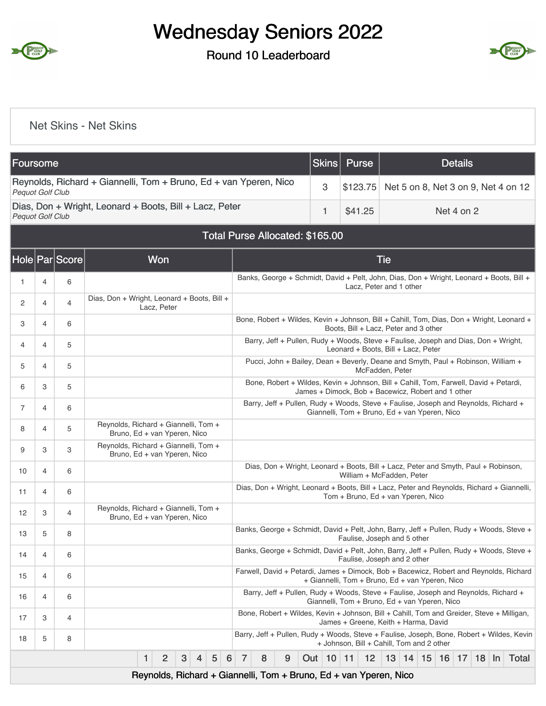



| Foursome                |   |                    |                                                                      |   |                |   |   |   |   |   |   |   |                                 | <b>Skins</b> | <b>Purse</b>                                                                                                                                |    |                         |    |    |            | <b>Details</b> |                                     |       |  |
|-------------------------|---|--------------------|----------------------------------------------------------------------|---|----------------|---|---|---|---|---|---|---|---------------------------------|--------------|---------------------------------------------------------------------------------------------------------------------------------------------|----|-------------------------|----|----|------------|----------------|-------------------------------------|-------|--|
| <b>Pequot Golf Club</b> |   |                    | Reynolds, Richard + Giannelli, Tom + Bruno, Ed + van Yperen, Nico    |   |                |   |   |   |   |   |   |   |                                 | 3            | \$123.75                                                                                                                                    |    |                         |    |    |            |                | Net 5 on 8, Net 3 on 9, Net 4 on 12 |       |  |
| <b>Pequot Golf Club</b> |   |                    | Dias, Don + Wright, Leonard + Boots, Bill + Lacz, Peter              |   |                |   |   |   |   |   |   |   |                                 | 1            | \$41.25                                                                                                                                     |    |                         |    |    | Net 4 on 2 |                |                                     |       |  |
|                         |   |                    |                                                                      |   |                |   |   |   |   |   |   |   | Total Purse Allocated: \$165.00 |              |                                                                                                                                             |    |                         |    |    |            |                |                                     |       |  |
|                         |   | Hole   Par   Score |                                                                      |   | Won            |   |   |   |   |   |   |   |                                 |              |                                                                                                                                             |    | <b>Tie</b>              |    |    |            |                |                                     |       |  |
| 1                       | 4 | 6                  |                                                                      |   |                |   |   |   |   |   |   |   |                                 |              | Banks, George + Schmidt, David + Pelt, John, Dias, Don + Wright, Leonard + Boots, Bill +                                                    |    | Lacz, Peter and 1 other |    |    |            |                |                                     |       |  |
| 2                       | 4 | 4                  | Dias, Don + Wright, Leonard + Boots, Bill +                          |   | Lacz, Peter    |   |   |   |   |   |   |   |                                 |              |                                                                                                                                             |    |                         |    |    |            |                |                                     |       |  |
| 3                       | 4 | 6                  |                                                                      |   |                |   |   |   |   |   |   |   |                                 |              | Bone, Robert + Wildes, Kevin + Johnson, Bill + Cahill, Tom, Dias, Don + Wright, Leonard +<br>Boots, Bill + Lacz, Peter and 3 other          |    |                         |    |    |            |                |                                     |       |  |
| 4                       | 4 | 5                  |                                                                      |   |                |   |   |   |   |   |   |   |                                 |              | Barry, Jeff + Pullen, Rudy + Woods, Steve + Faulise, Joseph and Dias, Don + Wright,<br>Leonard + Boots, Bill + Lacz, Peter                  |    |                         |    |    |            |                |                                     |       |  |
| 5                       | 4 | 5                  |                                                                      |   |                |   |   |   |   |   |   |   |                                 |              | Pucci, John + Bailey, Dean + Beverly, Deane and Smyth, Paul + Robinson, William +                                                           |    | McFadden, Peter         |    |    |            |                |                                     |       |  |
| 6                       | З | 5                  |                                                                      |   |                |   |   |   |   |   |   |   |                                 |              | Bone, Robert + Wildes, Kevin + Johnson, Bill + Cahill, Tom, Farwell, David + Petardi,<br>James + Dimock, Bob + Bacewicz, Robert and 1 other |    |                         |    |    |            |                |                                     |       |  |
| 7                       | 4 | 6                  |                                                                      |   |                |   |   |   |   |   |   |   |                                 |              | Barry, Jeff + Pullen, Rudy + Woods, Steve + Faulise, Joseph and Reynolds, Richard +<br>Giannelli, Tom + Bruno, Ed + van Yperen, Nico        |    |                         |    |    |            |                |                                     |       |  |
| 8                       | 4 | 5                  | Reynolds, Richard + Giannelli, Tom +<br>Bruno, Ed + van Yperen, Nico |   |                |   |   |   |   |   |   |   |                                 |              |                                                                                                                                             |    |                         |    |    |            |                |                                     |       |  |
| 9                       | 3 | 3                  | Reynolds, Richard + Giannelli, Tom +<br>Bruno, Ed + van Yperen, Nico |   |                |   |   |   |   |   |   |   |                                 |              |                                                                                                                                             |    |                         |    |    |            |                |                                     |       |  |
| 10                      | 4 | 6                  |                                                                      |   |                |   |   |   |   |   |   |   |                                 |              | Dias, Don + Wright, Leonard + Boots, Bill + Lacz, Peter and Smyth, Paul + Robinson,<br>William + McFadden, Peter                            |    |                         |    |    |            |                |                                     |       |  |
| 11                      | 4 | 6                  |                                                                      |   |                |   |   |   |   |   |   |   |                                 |              | Dias, Don + Wright, Leonard + Boots, Bill + Lacz, Peter and Reynolds, Richard + Giannelli,<br>Tom + Bruno, Ed + van Yperen, Nico            |    |                         |    |    |            |                |                                     |       |  |
| 12                      | 3 | 4                  | Reynolds, Richard + Giannelli, Tom +<br>Bruno, Ed + van Yperen, Nico |   |                |   |   |   |   |   |   |   |                                 |              |                                                                                                                                             |    |                         |    |    |            |                |                                     |       |  |
| 13                      | 5 | 8                  |                                                                      |   |                |   |   |   |   |   |   |   |                                 |              | Banks, George + Schmidt, David + Pelt, John, Barry, Jeff + Pullen, Rudy + Woods, Steve +<br>Faulise, Joseph and 5 other                     |    |                         |    |    |            |                |                                     |       |  |
| 14                      | 4 | 6                  |                                                                      |   |                |   |   |   |   |   |   |   |                                 |              | Banks, George + Schmidt, David + Pelt, John, Barry, Jeff + Pullen, Rudy + Woods, Steve +<br>Faulise, Joseph and 2 other                     |    |                         |    |    |            |                |                                     |       |  |
| 15                      | 4 | 6                  |                                                                      |   |                |   |   |   |   |   |   |   |                                 |              | Farwell, David + Petardi, James + Dimock, Bob + Bacewicz, Robert and Reynolds, Richard<br>+ Giannelli, Tom + Bruno, Ed + van Yperen, Nico   |    |                         |    |    |            |                |                                     |       |  |
| 16                      | 4 | 6                  |                                                                      |   |                |   |   |   |   |   |   |   |                                 |              | Barry, Jeff + Pullen, Rudy + Woods, Steve + Faulise, Joseph and Reynolds, Richard +<br>Giannelli, Tom + Bruno, Ed + van Yperen, Nico        |    |                         |    |    |            |                |                                     |       |  |
| 17                      | 3 | 4                  |                                                                      |   |                |   |   |   |   |   |   |   |                                 |              | Bone, Robert + Wildes, Kevin + Johnson, Bill + Cahill, Tom and Greider, Steve + Milligan,<br>James + Greene, Keith + Harma, David           |    |                         |    |    |            |                |                                     |       |  |
| 18                      | 5 | 8                  |                                                                      |   |                |   |   |   |   |   |   |   |                                 |              | Barry, Jeff + Pullen, Rudy + Woods, Steve + Faulise, Joseph, Bone, Robert + Wildes, Kevin<br>+ Johnson, Bill + Cahill, Tom and 2 other      |    |                         |    |    |            |                |                                     |       |  |
|                         |   |                    |                                                                      | 1 | $\overline{c}$ | 3 | 4 | 5 | 6 | 7 | 8 | 9 | Out                             | 10           | 11                                                                                                                                          | 12 | 13                      | 14 | 15 | 16         |                | $17$ 18 In                          | Total |  |
|                         |   |                    |                                                                      |   |                |   |   |   |   |   |   |   |                                 |              | Reynolds, Richard + Giannelli, Tom + Bruno, Ed + van Yperen, Nico                                                                           |    |                         |    |    |            |                |                                     |       |  |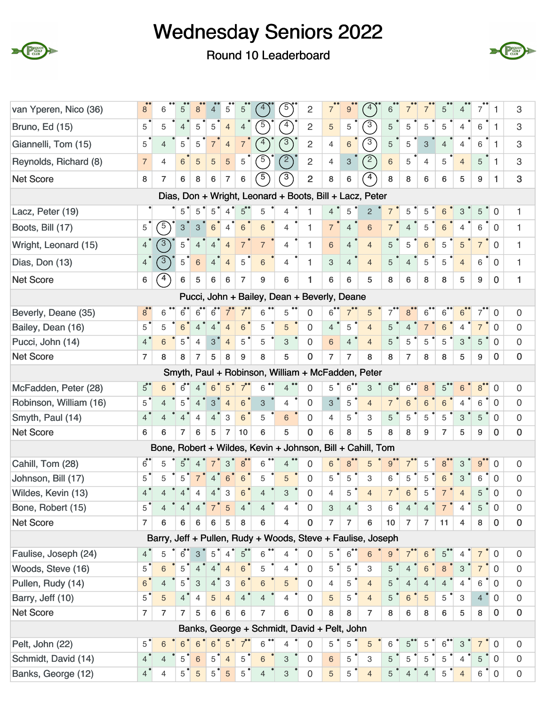



| van Yperen, Nico (36)  | 8              | 6                | 5              |                |                | 5                         | 5              |                                             |                   | 2              |                           | 9              |                                                             | 6               |                |                | 5               | 4                         | 7              | 1.             | 3                   |
|------------------------|----------------|------------------|----------------|----------------|----------------|---------------------------|----------------|---------------------------------------------|-------------------|----------------|---------------------------|----------------|-------------------------------------------------------------|-----------------|----------------|----------------|-----------------|---------------------------|----------------|----------------|---------------------|
| Bruno, Ed (15)         | 5              | 5                | 4              | 5              | 5              | $\overline{4}$            | 4              |                                             |                   | 2              | 5                         | 5              | $\left(3\right)$                                            | 5               | 5              | 5              | 5               | $\overline{4}$            | 6              | 1              | 3                   |
| Giannelli, Tom (15)    | 5              | $\overline{4}$   | 5              | 5              | $\overline{7}$ | $\overline{4}$            |                |                                             | 3                 | $\overline{c}$ | 4                         | 6              | $\sqrt{3}$                                                  | $\sqrt{5}$      | 5              | 3              | $\overline{4}$  | $\overline{4}$            | 6              | $\mathbf{1}$   | 3                   |
| Reynolds, Richard (8)  | $\overline{7}$ | 4                | 6              | 5              | $\sqrt{5}$     | $\sqrt{5}$                | 5              | 5                                           | $\left( 2\right)$ | 2              | 4                         | 3              | $\frac{2}{2}$                                               | $\,6\,$         | 5              | 4              | 5               | $\overline{4}$            | 5              | 1              | 3                   |
| <b>Net Score</b>       | 8              | $\overline{7}$   | 6              | 8              | 6              | $\overline{7}$            | 6              | $\sqrt{5}$                                  | $\left(3\right)$  | $\overline{2}$ | 8                         | 6              | $\overline{4}$                                              | 8               | 8              | 6              | $6\phantom{1}$  | 5                         | 9              | 1              | 3                   |
|                        |                |                  |                |                |                |                           |                |                                             |                   |                |                           |                | Dias, Don + Wright, Leonard + Boots, Bill + Lacz, Peter     |                 |                |                |                 |                           |                |                |                     |
| Lacz, Peter (19)       |                |                  | 5              | 5              | 5              | $\overline{4}$            | $5^{\circ}$    | 5                                           | 4                 |                | 4                         | 5              | $\overline{2}$                                              | $\overline{7}$  | 5              | 5              | $6\phantom{1}6$ | $\ensuremath{\mathsf{3}}$ | 5              | 0              | 1                   |
| Boots, Bill (17)       | 5              | $\sqrt{5}$       | 3              | 3              | 6              | 4                         | 6              | 6                                           | 4                 | 1              | $\overline{7}$            | $\overline{4}$ | 6                                                           | $\overline{7}$  | 4              | 5              | 6               | 4                         | 6              | 0              | $\mathbf{1}$        |
| Wright, Leonard (15)   | 4              | $\mathcal{S}$    | 5              |                | 4              | $\overline{4}$            | $\overline{7}$ | $\overline{7}$                              | 4                 | 1              | 6                         | 4              | $\overline{4}$                                              | 5               | 5              | 6              | 5               | $\overline{5}$            | $\overline{7}$ | $\mathbf 0$    | 1                   |
| Dias, Don (13)         | 4              | $\mathfrak{c}_3$ | 5              | 6              | 4              | $\overline{4}$            | 5              | 6                                           | 4                 | 1              | $\ensuremath{\mathsf{3}}$ | 4              | $\overline{4}$                                              | 5               | 4              | 5              | 5               | $\overline{4}$            | 6              | $\mathbf 0$    | 1                   |
| <b>Net Score</b>       | 6              | $4^{\circ}$      | 6              | 5              | 6              | 6                         | $\overline{7}$ | 9                                           | 6                 | 1.             | 6                         | 6              | 5                                                           | 8               | 6              | 8              | 8               | 5                         | 9              | $\Omega$       | 1                   |
|                        |                |                  |                |                |                |                           |                | Pucci, John + Bailey, Dean + Beverly, Deane |                   |                |                           |                |                                                             |                 |                |                |                 |                           |                |                |                     |
| Beverly, Deane (35)    | $8^{\circ}$    | 6                | 6              |                | 6              |                           |                | 6                                           | 5                 | 0              | 6                         |                | 5                                                           |                 |                | 6              | 6               | 6                         | 7              | 0              | $\overline{0}$      |
| Bailey, Dean (16)      | 5              | 5                | 6              |                | 4              | $\overline{4}$            | $\sqrt{6}$     | 5                                           | 5                 | 0              | $\overline{4}$            | $\mathbf 5$    | $\overline{4}$                                              | 5               |                |                | $6\phantom{1}6$ | $\overline{4}$            | $\overline{7}$ | $\overline{0}$ | 0                   |
| Pucci, John (14)       | $\overline{4}$ | 6                | 5              | 4              | 3              | $\overline{4}$            | 5              | 5                                           | 3                 | $\mathbf 0$    | 6                         | $\overline{4}$ | $\overline{4}$                                              | 5               | 5              | 5              | 5               | 3                         | 5              | $\Omega$       | $\Omega$            |
| <b>Net Score</b>       | $\overline{7}$ | 8                | 8              | $\overline{7}$ | 5              | 8                         | 9              | 8                                           | 5                 | 0              | $\overline{7}$            | $\overline{7}$ | 8                                                           | 8               | $\overline{7}$ | 8              | 8               | 5                         | 9              | $\mathbf 0$    | $\bf{0}$            |
|                        |                |                  |                |                |                |                           |                |                                             |                   |                |                           |                | Smyth, Paul + Robinson, William + McFadden, Peter           |                 |                |                |                 |                           |                |                |                     |
| McFadden, Peter (28)   | $5^{\bullet}$  | 6                |                |                | 6              | 5                         |                | 6                                           | 4                 | 0              | 5                         | 6              | 3                                                           | 6               | 6              | 8              | 5               | 6                         | 8              | 0              | 0                   |
| Robinson, William (16) | 5              |                  | 5              |                | 3              | $\overline{4}$            | 6              | 3                                           | 4                 | 0              | 3                         | 5              | $\overline{4}$                                              | $\overline{7}$  | 6              | 6              | $6\phantom{1}6$ | 4                         | 6              | $\mathbf 0$    | 0                   |
| Smyth, Paul (14)       | $\overline{4}$ | 4                | 4              | 4              | $\overline{4}$ | 3                         | 6              | 5                                           | 6                 | 0              | 4                         | 5              | 3                                                           | 5               | 5              | 5              | 5               | 3                         | 5              | $\overline{0}$ | 0                   |
| <b>Net Score</b>       | 6              | 6                | $\overline{7}$ | 6              | 5              | $\overline{7}$            | 10             | 6                                           | 5                 | 0              | 6                         | 8              | 5                                                           | 8               | 8              | 9              | $\overline{7}$  | 5                         | 9              | $\mathbf 0$    | $\bf{0}$            |
|                        |                |                  |                |                |                |                           |                |                                             |                   |                |                           |                | Bone, Robert + Wildes, Kevin + Johnson, Bill + Cahill, Tom  |                 |                |                |                 |                           |                |                |                     |
| Cahill, Tom (28)       | $\overline{6}$ | 5                |                |                |                | 3                         | 8              | 6                                           | 4                 | $\Omega$       | 6                         | 8              | 5                                                           | 9               |                | 5              | 8               | 3                         | 9              | $\overline{0}$ | $\mathbf 0$         |
| Johnson, Bill (17)     | 5              | 5                |                |                |                | 6                         | 6              | 5                                           | 5                 | 0              | 5                         | 5              | 3                                                           | 6               | 5              | 5              | 6               | 3                         | 6              | $\overline{0}$ | 0                   |
| Wildes, Kevin (13)     |                |                  |                | 4              |                | 3                         | 6              |                                             | 3                 | 0              | 4                         | 5              | $\overline{4}$                                              | $\overline{7}$  | 6              | 5              |                 | 4                         | 5              | $\Omega$       | 0                   |
| Bone, Robert (15)      | 5              | $\overline{4}$   | $\overline{4}$ | $\overline{4}$ | $\overline{7}$ | $\overline{5}$            | 4              | $\overline{4}$                              | 4                 | 0              | 3                         | 4              | 3                                                           | 6               |                | 4              | $\overline{7}$  | 4                         | 5              | $\overline{0}$ | 0                   |
| <b>Net Score</b>       | 7              | 6                | 6              | 6              | 6              | 5                         | 8              | 6                                           | 4                 | $\mathbf 0$    | $\overline{7}$            | $\overline{7}$ | 6                                                           | 10 <sup>1</sup> | $\overline{7}$ | $\overline{7}$ | 11              | $\overline{4}$            | 8              | $\mathbf 0$    | $\mathbf 0$         |
|                        |                |                  |                |                |                |                           |                |                                             |                   |                |                           |                | Barry, Jeff + Pullen, Rudy + Woods, Steve + Faulise, Joseph |                 |                |                |                 |                           |                |                |                     |
| Faulise, Joseph (24)   | $4^{\degree}$  | 5                | 6              | 3              | 5              | 4                         | $5^{\degree}$  | 6                                           | 4                 | 0              | 5                         | $6^{\bullet}$  | 6                                                           | 9               |                | 6              | $5^{\circ}$     | 4                         | $\overline{7}$ | $\overline{0}$ | $\mathsf{O}\xspace$ |
| Woods, Steve (16)      | 5              | 6                | 5              |                | 4              | $\overline{4}$            | $6\phantom{1}$ | 5                                           | 4                 | 0              | 5                         | 5              | 3                                                           | 5               |                | 6              | $\,$ 8 $\,$     | 3                         | $\overline{7}$ | $\Omega$       | $\mathbf 0$         |
| Pullen, Rudy (14)      | 6              | 4                | 5              | 3              | $\overline{4}$ | $\ensuremath{\mathsf{3}}$ | 6              | $\,6$                                       | 5                 | 0              | 4                         | 5              | $\overline{4}$                                              | 5               |                |                | $\overline{4}$  | 4                         | 6              | $\mathbf 0$    | $\mathsf{O}\xspace$ |
| Barry, Jeff (10)       | 5              | 5                | $4^{\circ}$    | $\overline{4}$ | 5              | $\overline{4}$            | 4 <sup>1</sup> | $\overline{4}$                              | 4                 | $\mathbf 0$    | 5                         | 5              | $\overline{4}$                                              | 5               | 6              | 5              | 5               | 3                         | 4 <sup>°</sup> | $\overline{0}$ | $\boldsymbol{0}$    |
| <b>Net Score</b>       | 7              | $\overline{7}$   | $\overline{7}$ | 5              | 6              | 6                         | 6              | $\overline{7}$                              | 6                 | 0              | 8                         | 8              | $\overline{7}$                                              | 8               | 6              | 8              | $6\phantom{1}$  | 5                         | 8              | $\mathbf 0$    | $\bf{0}$            |
|                        |                |                  |                |                |                |                           |                | Banks, George + Schmidt, David + Pelt, John |                   |                |                           |                |                                                             |                 |                |                |                 |                           |                |                |                     |
| Pelt, John (22)        | 5              | 6                | 6              | 6              | 6              | 5                         |                | 6                                           | 4                 | $\Omega$       | 5                         | $\mathbf 5$    | 5                                                           | 6               | 5              | 5              | 6               | 3                         | $\overline{7}$ | $\mathbf 0$    | $\mathsf{O}\xspace$ |
| Schmidt, David (14)    | 4              |                  | 5              | 6              | $\sqrt{5}$     | $\overline{4}$            | 5              | 6                                           | 3                 | 0              | 6                         | 5              | 3                                                           | 5               | 5              | 5              | 5               | 4                         | 5              | $\overline{0}$ | $\mathbf 0$         |
| Banks, George (12)     | $\overline{4}$ | 4                | $5^{\circ}$    | 5              | 5              | $\sqrt{5}$                | 5              | $\overline{4}$                              | 3                 | 0              | 5                         | 5              | $\overline{4}$                                              | 5               |                | $\overline{4}$ | 5               | $\overline{4}$            | 6              | $\overline{0}$ | $\boldsymbol{0}$    |